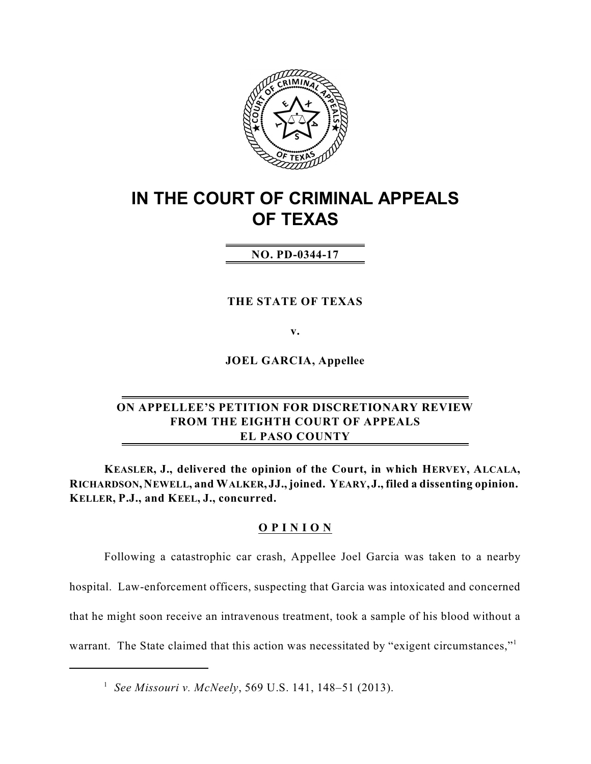

# **IN THE COURT OF CRIMINAL APPEALS OF TEXAS**

# **NO. PD-0344-17**

**THE STATE OF TEXAS**

**v.**

**JOEL GARCIA, Appellee**

# **ON APPELLEE'S PETITION FOR DISCRETIONARY REVIEW FROM THE EIGHTH COURT OF APPEALS EL PASO COUNTY**

**KEASLER, J., delivered the opinion of the Court, in which HERVEY, ALCALA, RICHARDSON, NEWELL, and WALKER, JJ., joined. YEARY, J., filed a dissenting opinion. KELLER, P.J., and KEEL, J., concurred.**

### **O P I N I O N**

Following a catastrophic car crash, Appellee Joel Garcia was taken to a nearby hospital. Law-enforcement officers, suspecting that Garcia was intoxicated and concerned that he might soon receive an intravenous treatment, took a sample of his blood without a warrant. The State claimed that this action was necessitated by "exigent circumstances,"<sup>1</sup>

*See Missouri v. McNeely*, 569 U.S. 141, 148–51 (2013). 1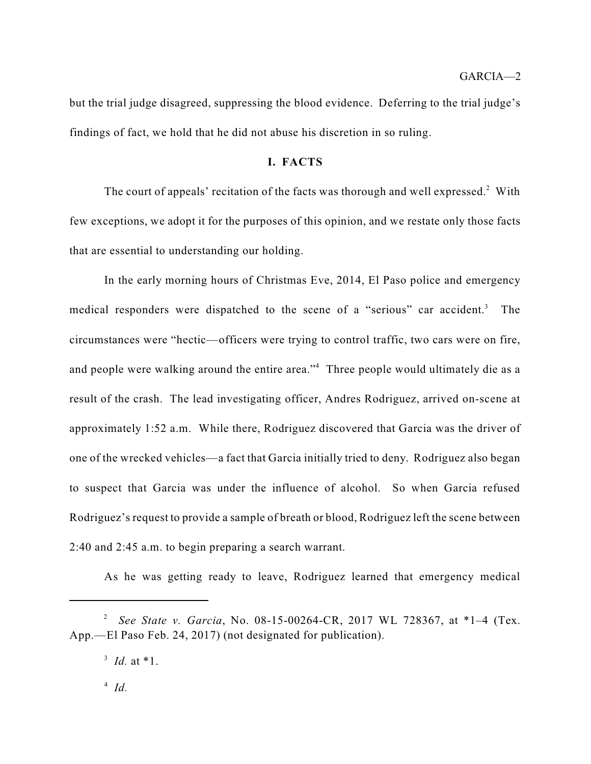but the trial judge disagreed, suppressing the blood evidence. Deferring to the trial judge's findings of fact, we hold that he did not abuse his discretion in so ruling.

### **I. FACTS**

The court of appeals' recitation of the facts was thorough and well expressed. $2$  With few exceptions, we adopt it for the purposes of this opinion, and we restate only those facts that are essential to understanding our holding.

In the early morning hours of Christmas Eve, 2014, El Paso police and emergency medical responders were dispatched to the scene of a "serious" car accident.<sup>3</sup> The circumstances were "hectic—officers were trying to control traffic, two cars were on fire, and people were walking around the entire area."<sup>4</sup> Three people would ultimately die as a result of the crash. The lead investigating officer, Andres Rodriguez, arrived on-scene at approximately 1:52 a.m. While there, Rodriguez discovered that Garcia was the driver of one of the wrecked vehicles—a fact that Garcia initially tried to deny. Rodriguez also began to suspect that Garcia was under the influence of alcohol. So when Garcia refused Rodriguez's request to provide a sample of breath or blood, Rodriguez left the scene between 2:40 and 2:45 a.m. to begin preparing a search warrant.

As he was getting ready to leave, Rodriguez learned that emergency medical

*See State v. Garcia*, No. 08-15-00264-CR, 2017 WL 728367, at \*1–4 (Tex. 2 App.—El Paso Feb. 24, 2017) (not designated for publication).

<sup>&</sup>lt;sup>3</sup> *Id.* at \*1.

 $\int^4 I d$ .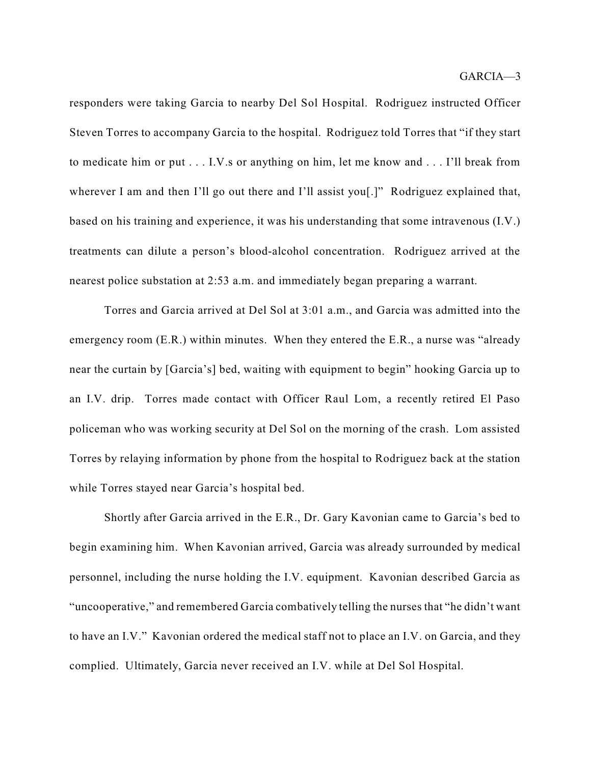responders were taking Garcia to nearby Del Sol Hospital. Rodriguez instructed Officer Steven Torres to accompany Garcia to the hospital. Rodriguez told Torres that "if they start to medicate him or put . . . I.V.s or anything on him, let me know and . . . I'll break from wherever I am and then I'll go out there and I'll assist you<sup>[1]</sup>. Rodriguez explained that, based on his training and experience, it was his understanding that some intravenous (I.V.) treatments can dilute a person's blood-alcohol concentration. Rodriguez arrived at the nearest police substation at 2:53 a.m. and immediately began preparing a warrant.

Torres and Garcia arrived at Del Sol at 3:01 a.m., and Garcia was admitted into the emergency room (E.R.) within minutes. When they entered the E.R., a nurse was "already" near the curtain by [Garcia's] bed, waiting with equipment to begin" hooking Garcia up to an I.V. drip. Torres made contact with Officer Raul Lom, a recently retired El Paso policeman who was working security at Del Sol on the morning of the crash. Lom assisted Torres by relaying information by phone from the hospital to Rodriguez back at the station while Torres stayed near Garcia's hospital bed.

Shortly after Garcia arrived in the E.R., Dr. Gary Kavonian came to Garcia's bed to begin examining him. When Kavonian arrived, Garcia was already surrounded by medical personnel, including the nurse holding the I.V. equipment. Kavonian described Garcia as "uncooperative," and remembered Garcia combatively telling the nurses that "he didn't want to have an I.V." Kavonian ordered the medical staff not to place an I.V. on Garcia, and they complied. Ultimately, Garcia never received an I.V. while at Del Sol Hospital.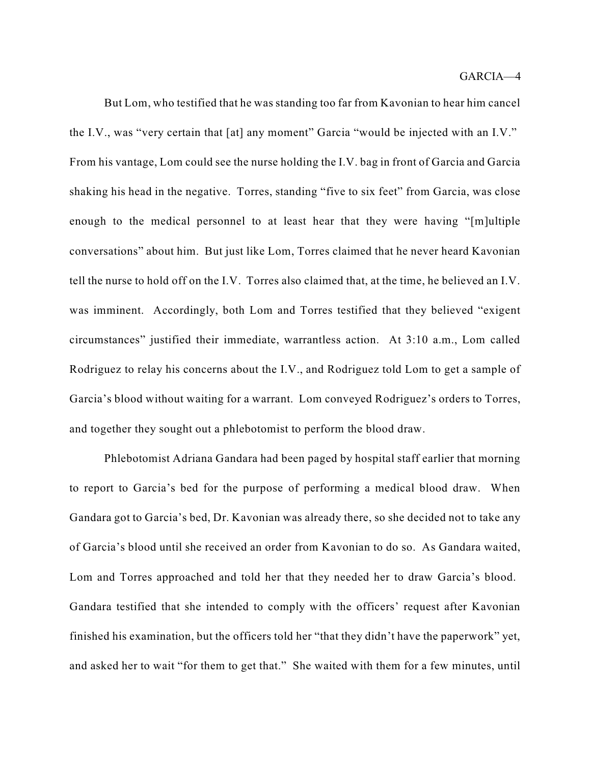But Lom, who testified that he was standing too far from Kavonian to hear him cancel the I.V., was "very certain that [at] any moment" Garcia "would be injected with an I.V." From his vantage, Lom could see the nurse holding the I.V. bag in front of Garcia and Garcia shaking his head in the negative. Torres, standing "five to six feet" from Garcia, was close enough to the medical personnel to at least hear that they were having "[m]ultiple conversations" about him. But just like Lom, Torres claimed that he never heard Kavonian tell the nurse to hold off on the I.V. Torres also claimed that, at the time, he believed an I.V. was imminent. Accordingly, both Lom and Torres testified that they believed "exigent circumstances" justified their immediate, warrantless action. At 3:10 a.m., Lom called Rodriguez to relay his concerns about the I.V., and Rodriguez told Lom to get a sample of Garcia's blood without waiting for a warrant. Lom conveyed Rodriguez's orders to Torres, and together they sought out a phlebotomist to perform the blood draw.

Phlebotomist Adriana Gandara had been paged by hospital staff earlier that morning to report to Garcia's bed for the purpose of performing a medical blood draw. When Gandara got to Garcia's bed, Dr. Kavonian was already there, so she decided not to take any of Garcia's blood until she received an order from Kavonian to do so. As Gandara waited, Lom and Torres approached and told her that they needed her to draw Garcia's blood. Gandara testified that she intended to comply with the officers' request after Kavonian finished his examination, but the officers told her "that they didn't have the paperwork" yet, and asked her to wait "for them to get that." She waited with them for a few minutes, until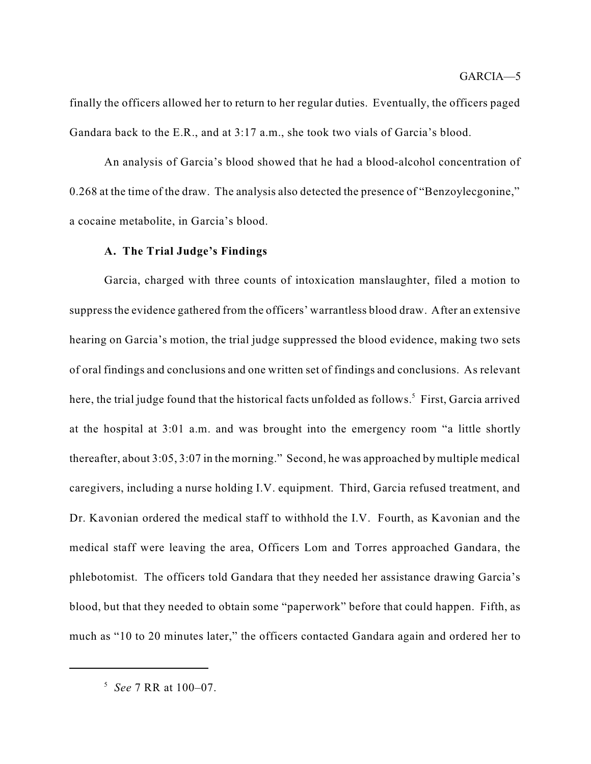finally the officers allowed her to return to her regular duties. Eventually, the officers paged Gandara back to the E.R., and at 3:17 a.m., she took two vials of Garcia's blood.

An analysis of Garcia's blood showed that he had a blood-alcohol concentration of 0.268 at the time of the draw. The analysis also detected the presence of "Benzoylecgonine," a cocaine metabolite, in Garcia's blood.

### **A. The Trial Judge's Findings**

Garcia, charged with three counts of intoxication manslaughter, filed a motion to suppressthe evidence gathered from the officers' warrantless blood draw. After an extensive hearing on Garcia's motion, the trial judge suppressed the blood evidence, making two sets of oral findings and conclusions and one written set of findings and conclusions. As relevant here, the trial judge found that the historical facts unfolded as follows.<sup>5</sup> First, Garcia arrived at the hospital at 3:01 a.m. and was brought into the emergency room "a little shortly thereafter, about 3:05, 3:07 in the morning." Second, he was approached by multiple medical caregivers, including a nurse holding I.V. equipment. Third, Garcia refused treatment, and Dr. Kavonian ordered the medical staff to withhold the I.V. Fourth, as Kavonian and the medical staff were leaving the area, Officers Lom and Torres approached Gandara, the phlebotomist. The officers told Gandara that they needed her assistance drawing Garcia's blood, but that they needed to obtain some "paperwork" before that could happen. Fifth, as much as "10 to 20 minutes later," the officers contacted Gandara again and ordered her to

*See* 7 RR at 100–07. 5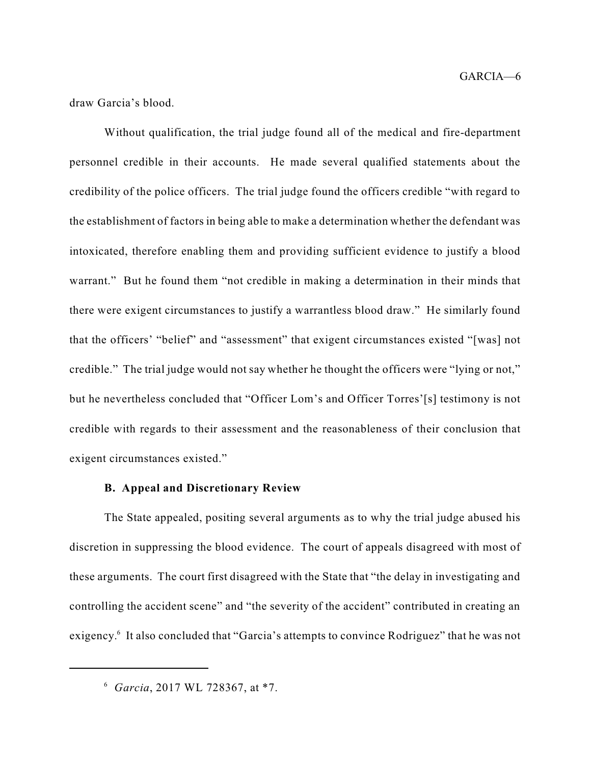GARCIA—6

draw Garcia's blood.

Without qualification, the trial judge found all of the medical and fire-department personnel credible in their accounts. He made several qualified statements about the credibility of the police officers. The trial judge found the officers credible "with regard to the establishment of factors in being able to make a determination whether the defendant was intoxicated, therefore enabling them and providing sufficient evidence to justify a blood warrant." But he found them "not credible in making a determination in their minds that there were exigent circumstances to justify a warrantless blood draw." He similarly found that the officers' "belief" and "assessment" that exigent circumstances existed "[was] not credible." The trial judge would not say whether he thought the officers were "lying or not," but he nevertheless concluded that "Officer Lom's and Officer Torres'[s] testimony is not credible with regards to their assessment and the reasonableness of their conclusion that exigent circumstances existed."

### **B. Appeal and Discretionary Review**

The State appealed, positing several arguments as to why the trial judge abused his discretion in suppressing the blood evidence. The court of appeals disagreed with most of these arguments. The court first disagreed with the State that "the delay in investigating and controlling the accident scene" and "the severity of the accident" contributed in creating an exigency.<sup>6</sup> It also concluded that "Garcia's attempts to convince Rodriguez" that he was not

<sup>&</sup>lt;sup>6</sup> Garcia, 2017 WL 728367, at \*7.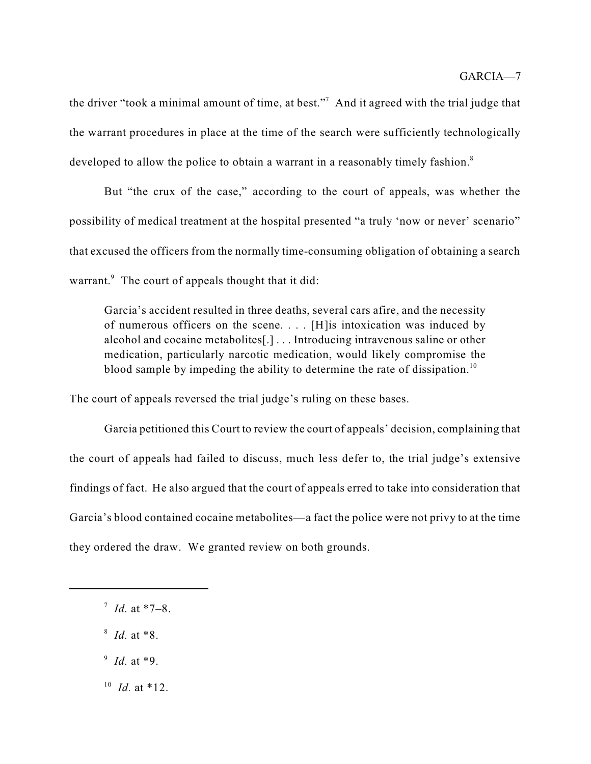the driver "took a minimal amount of time, at best."<sup>7</sup> And it agreed with the trial judge that the warrant procedures in place at the time of the search were sufficiently technologically developed to allow the police to obtain a warrant in a reasonably timely fashion.<sup>8</sup>

But "the crux of the case," according to the court of appeals, was whether the possibility of medical treatment at the hospital presented "a truly 'now or never' scenario" that excused the officers from the normally time-consuming obligation of obtaining a search warrant.<sup>9</sup> The court of appeals thought that it did:

Garcia's accident resulted in three deaths, several cars afire, and the necessity of numerous officers on the scene. . . . [H]is intoxication was induced by alcohol and cocaine metabolites[.] . . . Introducing intravenous saline or other medication, particularly narcotic medication, would likely compromise the blood sample by impeding the ability to determine the rate of dissipation.<sup>10</sup>

The court of appeals reversed the trial judge's ruling on these bases.

Garcia petitioned this Court to review the court of appeals' decision, complaining that the court of appeals had failed to discuss, much less defer to, the trial judge's extensive findings of fact. He also argued that the court of appeals erred to take into consideration that Garcia's blood contained cocaine metabolites—a fact the police were not privy to at the time they ordered the draw. We granted review on both grounds.

- $^7$  *Id.* at \*7–8.
- *Id.* at \*8. 8
- <sup>9</sup> *Id.* at \*9.
- $^{10}$  *Id.* at \*12.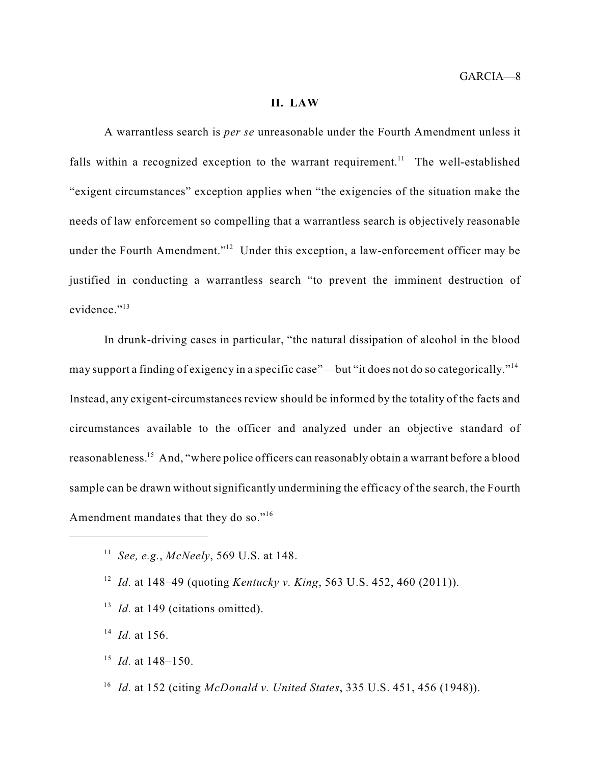#### **II. LAW**

A warrantless search is *per se* unreasonable under the Fourth Amendment unless it falls within a recognized exception to the warrant requirement.<sup>11</sup> The well-established "exigent circumstances" exception applies when "the exigencies of the situation make the needs of law enforcement so compelling that a warrantless search is objectively reasonable under the Fourth Amendment." $12$  Under this exception, a law-enforcement officer may be justified in conducting a warrantless search "to prevent the imminent destruction of evidence."<sup>13</sup>

In drunk-driving cases in particular, "the natural dissipation of alcohol in the blood may support a finding of exigency in a specific case"—but "it does not do so categorically."<sup>14</sup> Instead, any exigent-circumstances review should be informed by the totality of the facts and circumstances available to the officer and analyzed under an objective standard of reasonableness.<sup>15</sup> And, "where police officers can reasonably obtain a warrant before a blood sample can be drawn without significantly undermining the efficacy of the search, the Fourth Amendment mandates that they do so."<sup>16</sup>

- <sup>13</sup> *Id.* at 149 (citations omitted).
- $^{14}$  *Id.* at 156.
- $^{15}$  *Id.* at 148–150.
- *Id.* at 152 (citing *McDonald v. United States*, 335 U.S. 451, 456 (1948)). 16

<sup>&</sup>lt;sup>11</sup> See, e.g., *McNeely*, 569 U.S. at 148.

*Id.* at 148–49 (quoting *Kentucky v. King*, 563 U.S. 452, 460 (2011)). 12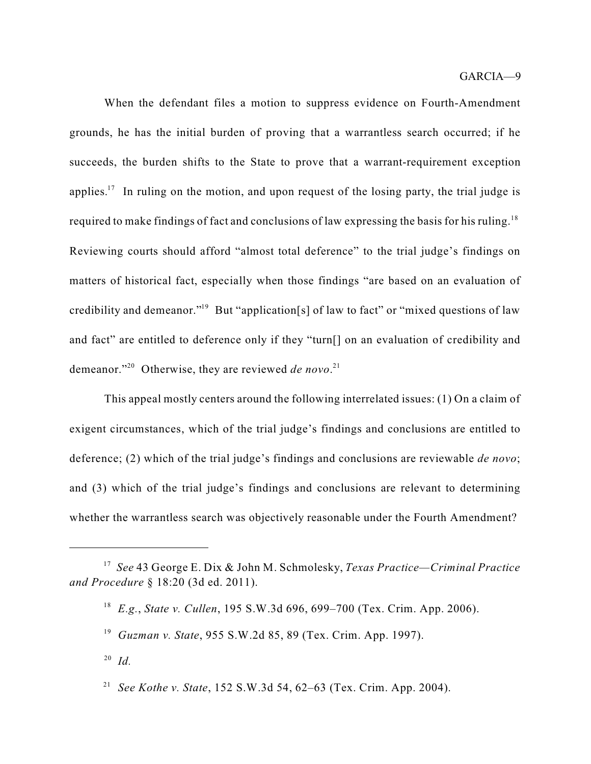When the defendant files a motion to suppress evidence on Fourth-Amendment grounds, he has the initial burden of proving that a warrantless search occurred; if he succeeds, the burden shifts to the State to prove that a warrant-requirement exception applies.<sup>17</sup> In ruling on the motion, and upon request of the losing party, the trial judge is required to make findings of fact and conclusions of law expressing the basis for his ruling.<sup>18</sup> Reviewing courts should afford "almost total deference" to the trial judge's findings on matters of historical fact, especially when those findings "are based on an evaluation of credibility and demeanor."<sup>19</sup> But "application[s] of law to fact" or "mixed questions of law and fact" are entitled to deference only if they "turn[] on an evaluation of credibility and demeanor."<sup>20</sup> Otherwise, they are reviewed *de novo*.<sup>21</sup>

This appeal mostly centers around the following interrelated issues: (1) On a claim of exigent circumstances, which of the trial judge's findings and conclusions are entitled to deference; (2) which of the trial judge's findings and conclusions are reviewable *de novo*; and (3) which of the trial judge's findings and conclusions are relevant to determining whether the warrantless search was objectively reasonable under the Fourth Amendment?

*See* 43 George E. Dix & John M. Schmolesky, *Texas Practice—Criminal Practice* 17 *and Procedure* § 18:20 (3d ed. 2011).

*E.g.*, *State v. Cullen*, 195 S.W.3d 696, 699–700 (Tex. Crim. App. 2006). 18

*Guzman v. State*, 955 S.W.2d 85, 89 (Tex. Crim. App. 1997). 19

*Id.* 20

*See Kothe v. State*, 152 S.W.3d 54, 62–63 (Tex. Crim. App. 2004). 21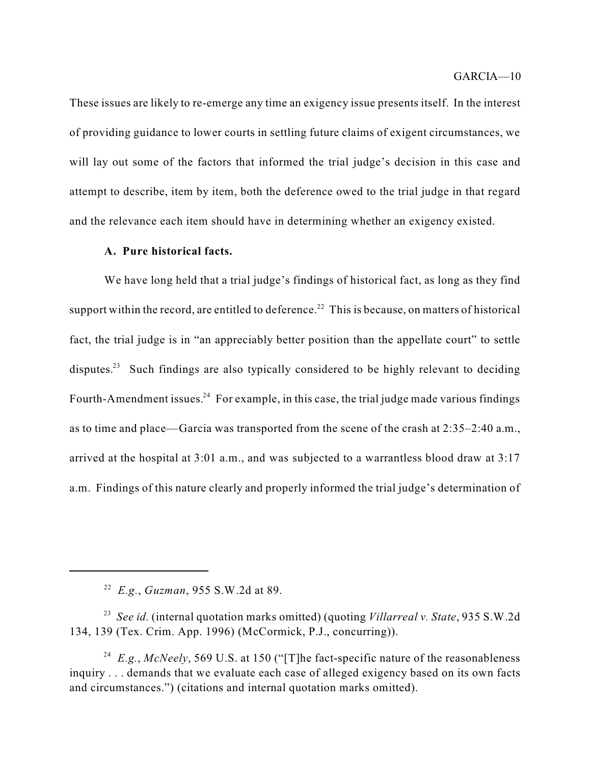These issues are likely to re-emerge any time an exigency issue presents itself. In the interest of providing guidance to lower courts in settling future claims of exigent circumstances, we will lay out some of the factors that informed the trial judge's decision in this case and attempt to describe, item by item, both the deference owed to the trial judge in that regard and the relevance each item should have in determining whether an exigency existed.

### **A. Pure historical facts.**

We have long held that a trial judge's findings of historical fact, as long as they find support within the record, are entitled to deference.<sup>22</sup> This is because, on matters of historical fact, the trial judge is in "an appreciably better position than the appellate court" to settle disputes.<sup>23</sup> Such findings are also typically considered to be highly relevant to deciding Fourth-Amendment issues.<sup>24</sup> For example, in this case, the trial judge made various findings as to time and place—Garcia was transported from the scene of the crash at 2:35–2:40 a.m., arrived at the hospital at 3:01 a.m., and was subjected to a warrantless blood draw at 3:17 a.m. Findings of this nature clearly and properly informed the trial judge's determination of

*See id.* (internal quotation marks omitted) (quoting *Villarreal v. State*, 935 S.W.2d 23 134, 139 (Tex. Crim. App. 1996) (McCormick, P.J., concurring)).

<sup>24</sup> E.g., McNeely, 569 U.S. at 150 ("[T]he fact-specific nature of the reasonableness inquiry . . . demands that we evaluate each case of alleged exigency based on its own facts and circumstances.") (citations and internal quotation marks omitted).

<sup>&</sup>lt;sup>22</sup> E.g., *Guzman*, 955 S.W.2d at 89.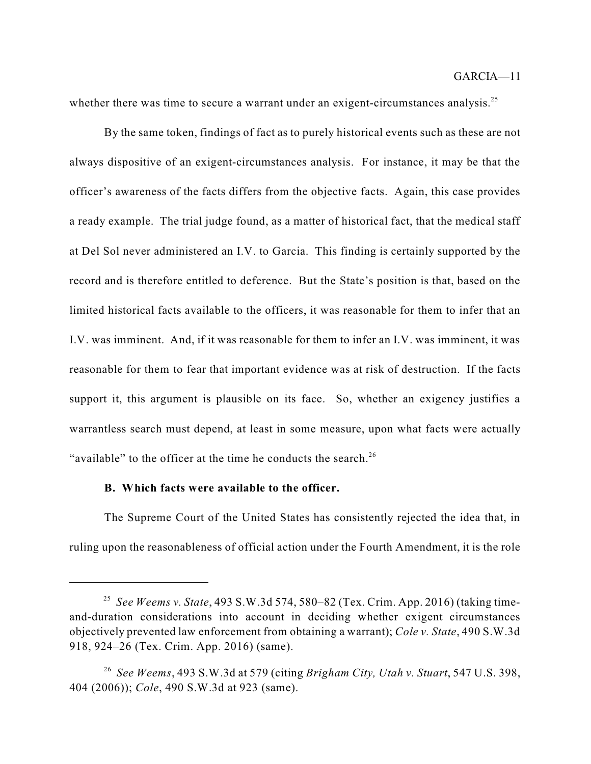whether there was time to secure a warrant under an exigent-circumstances analysis.<sup>25</sup>

By the same token, findings of fact as to purely historical events such as these are not always dispositive of an exigent-circumstances analysis. For instance, it may be that the officer's awareness of the facts differs from the objective facts. Again, this case provides a ready example. The trial judge found, as a matter of historical fact, that the medical staff at Del Sol never administered an I.V. to Garcia. This finding is certainly supported by the record and is therefore entitled to deference. But the State's position is that, based on the limited historical facts available to the officers, it was reasonable for them to infer that an I.V. was imminent. And, if it was reasonable for them to infer an I.V. was imminent, it was reasonable for them to fear that important evidence was at risk of destruction. If the facts support it, this argument is plausible on its face. So, whether an exigency justifies a warrantless search must depend, at least in some measure, upon what facts were actually "available" to the officer at the time he conducts the search.<sup>26</sup>

### **B. Which facts were available to the officer.**

The Supreme Court of the United States has consistently rejected the idea that, in ruling upon the reasonableness of official action under the Fourth Amendment, it is the role

*See Weems v. State*, 493 S.W.3d 574, 580–82 (Tex. Crim. App. 2016) (taking time-25 and-duration considerations into account in deciding whether exigent circumstances objectively prevented law enforcement from obtaining a warrant); *Cole v. State*, 490 S.W.3d 918, 924–26 (Tex. Crim. App. 2016) (same).

*See Weems*, 493 S.W.3d at 579 (citing *Brigham City, Utah v. Stuart*, 547 U.S. 398, 26 404 (2006)); *Cole*, 490 S.W.3d at 923 (same).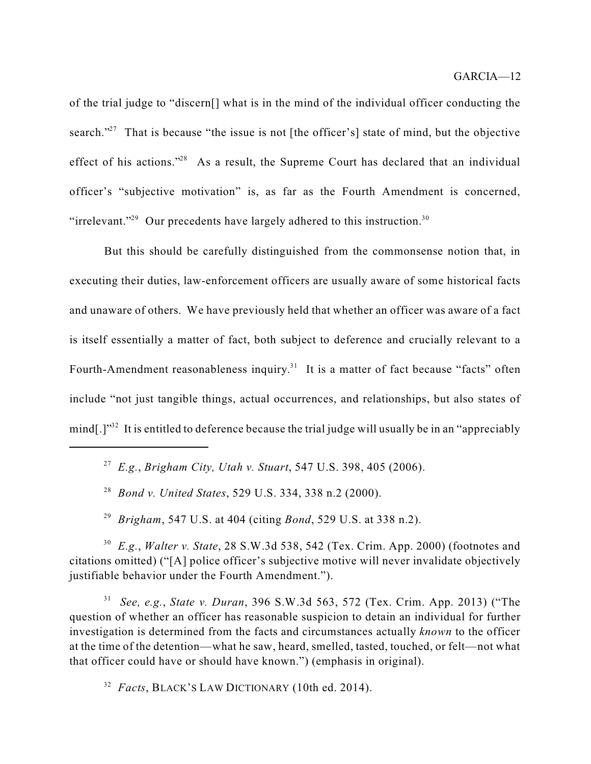of the trial judge to "discern[] what is in the mind of the individual officer conducting the search."<sup>27</sup> That is because "the issue is not [the officer's] state of mind, but the objective effect of his actions."<sup>28</sup> As a result, the Supreme Court has declared that an individual officer's "subjective motivation" is, as far as the Fourth Amendment is concerned, "irrelevant."<sup>29</sup> Our precedents have largely adhered to this instruction.<sup>30</sup>

But this should be carefully distinguished from the commonsense notion that, in executing their duties, law-enforcement officers are usually aware of some historical facts and unaware of others. We have previously held that whether an officer was aware of a fact is itself essentially a matter of fact, both subject to deference and crucially relevant to a Fourth-Amendment reasonableness inquiry.<sup>31</sup> It is a matter of fact because "facts" often include "not just tangible things, actual occurrences, and relationships, but also states of mind[.]" $^{32}$  It is entitled to deference because the trial judge will usually be in an "appreciably

*Brigham*, 547 U.S. at 404 (citing *Bond*, 529 U.S. at 338 n.2). 29

*E.g.*, *Walter v. State*, 28 S.W.3d 538, 542 (Tex. Crim. App. 2000) (footnotes and 30 citations omitted) ("[A] police officer's subjective motive will never invalidate objectively justifiable behavior under the Fourth Amendment.").

*See, e.g.*, *State v. Duran*, 396 S.W.3d 563, 572 (Tex. Crim. App. 2013) ("The 31 question of whether an officer has reasonable suspicion to detain an individual for further investigation is determined from the facts and circumstances actually *known* to the officer at the time of the detention—what he saw, heard, smelled, tasted, touched, or felt—not what that officer could have or should have known.") (emphasis in original).

<sup>32</sup> Facts, BLACK'S LAW DICTIONARY (10th ed. 2014).

*E.g.*, *Brigham City, Utah v. Stuart*, 547 U.S. 398, 405 (2006). 27

*Bond v. United States*, 529 U.S. 334, 338 n.2 (2000). 28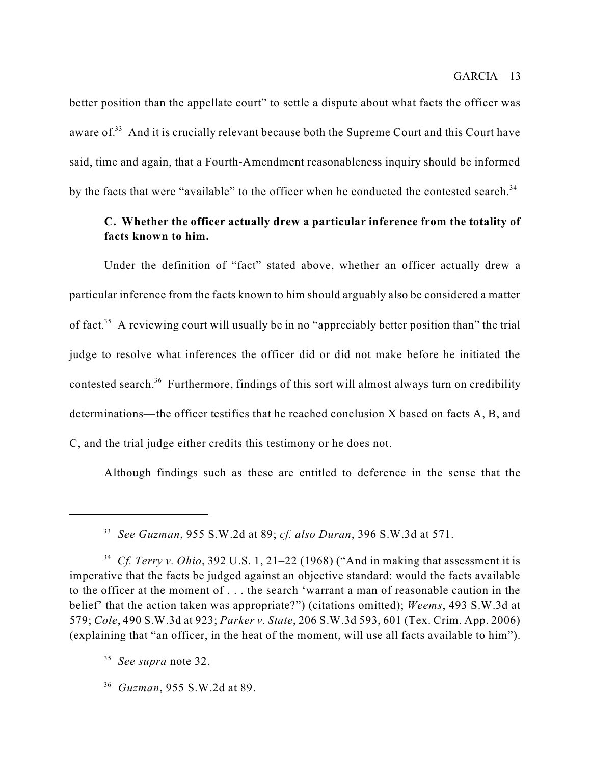better position than the appellate court" to settle a dispute about what facts the officer was aware of. $33$  And it is crucially relevant because both the Supreme Court and this Court have said, time and again, that a Fourth-Amendment reasonableness inquiry should be informed by the facts that were "available" to the officer when he conducted the contested search.<sup>34</sup>

## **C. Whether the officer actually drew a particular inference from the totality of facts known to him.**

Under the definition of "fact" stated above, whether an officer actually drew a particular inference from the facts known to him should arguably also be considered a matter of fact.<sup>35</sup> A reviewing court will usually be in no "appreciably better position than" the trial judge to resolve what inferences the officer did or did not make before he initiated the contested search.<sup>36</sup> Furthermore, findings of this sort will almost always turn on credibility determinations—the officer testifies that he reached conclusion X based on facts A, B, and C, and the trial judge either credits this testimony or he does not.

Although findings such as these are entitled to deference in the sense that the

*See Guzman*, 955 S.W.2d at 89; *cf. also Duran*, 396 S.W.3d at 571. 33

*Cf. Terry v. Ohio*, 392 U.S. 1, 21–22 (1968) ("And in making that assessment it is 34 imperative that the facts be judged against an objective standard: would the facts available to the officer at the moment of . . . the search 'warrant a man of reasonable caution in the belief' that the action taken was appropriate?") (citations omitted); *Weems*, 493 S.W.3d at 579; *Cole*, 490 S.W.3d at 923; *Parker v. State*, 206 S.W.3d 593, 601 (Tex. Crim. App. 2006) (explaining that "an officer, in the heat of the moment, will use all facts available to him").

*See supra* note 32. 35

*Guzman*, 955 S.W.2d at 89. 36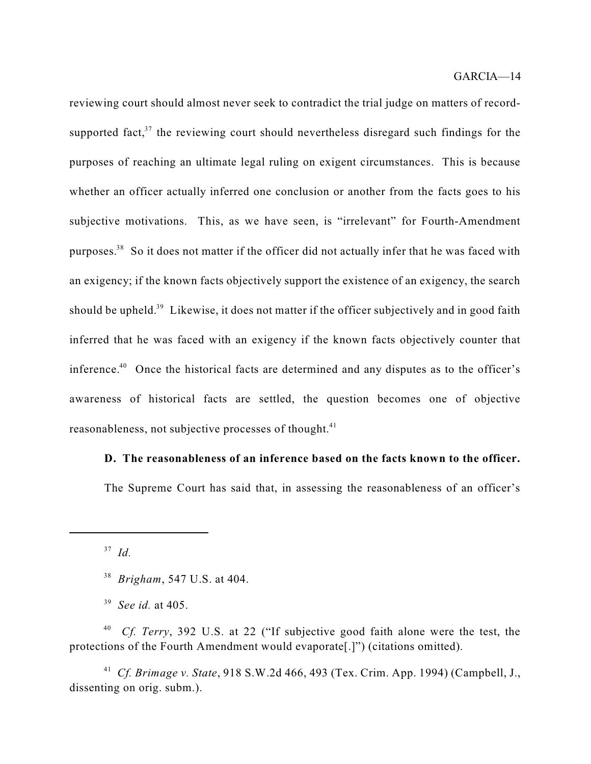reviewing court should almost never seek to contradict the trial judge on matters of recordsupported fact, $37$  the reviewing court should nevertheless disregard such findings for the purposes of reaching an ultimate legal ruling on exigent circumstances. This is because whether an officer actually inferred one conclusion or another from the facts goes to his subjective motivations. This, as we have seen, is "irrelevant" for Fourth-Amendment purposes.<sup>38</sup> So it does not matter if the officer did not actually infer that he was faced with an exigency; if the known facts objectively support the existence of an exigency, the search should be upheld.<sup>39</sup> Likewise, it does not matter if the officer subjectively and in good faith inferred that he was faced with an exigency if the known facts objectively counter that inference.<sup>40</sup> Once the historical facts are determined and any disputes as to the officer's awareness of historical facts are settled, the question becomes one of objective reasonableness, not subjective processes of thought.<sup>41</sup>

### **D. The reasonableness of an inference based on the facts known to the officer.**

The Supreme Court has said that, in assessing the reasonableness of an officer's

*Id.* 37

<sup>40</sup> *Cf. Terry*, 392 U.S. at 22 ("If subjective good faith alone were the test, the protections of the Fourth Amendment would evaporate[.]") (citations omitted).

*Cf. Brimage v. State*, 918 S.W.2d 466, 493 (Tex. Crim. App. 1994) (Campbell, J., 41 dissenting on orig. subm.).

<sup>&</sup>lt;sup>38</sup> Brigham, 547 U.S. at 404.

*See id.* at 405. 39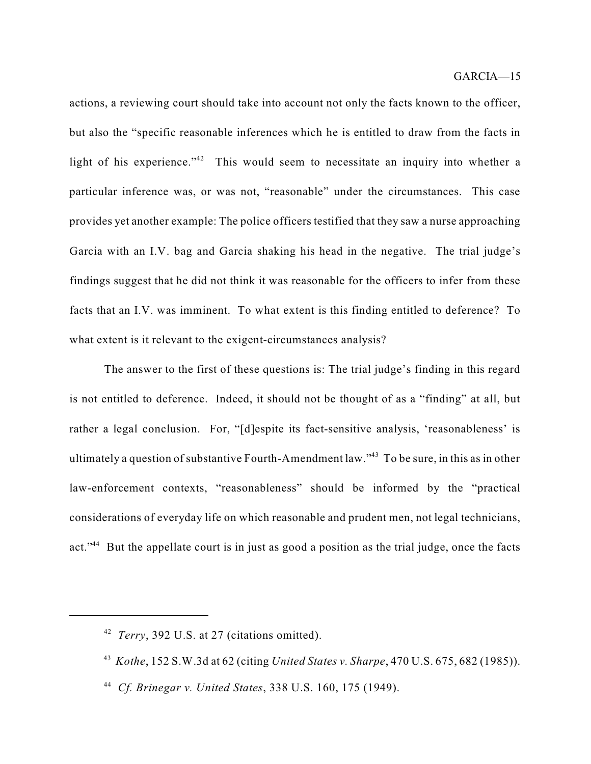actions, a reviewing court should take into account not only the facts known to the officer, but also the "specific reasonable inferences which he is entitled to draw from the facts in light of his experience."<sup>42</sup> This would seem to necessitate an inquiry into whether a particular inference was, or was not, "reasonable" under the circumstances. This case provides yet another example: The police officers testified that they saw a nurse approaching Garcia with an I.V. bag and Garcia shaking his head in the negative. The trial judge's findings suggest that he did not think it was reasonable for the officers to infer from these facts that an I.V. was imminent. To what extent is this finding entitled to deference? To what extent is it relevant to the exigent-circumstances analysis?

The answer to the first of these questions is: The trial judge's finding in this regard is not entitled to deference. Indeed, it should not be thought of as a "finding" at all, but rather a legal conclusion. For, "[d]espite its fact-sensitive analysis, 'reasonableness' is ultimately a question of substantive Fourth-Amendment law." $^{43}$  To be sure, in this as in other law-enforcement contexts, "reasonableness" should be informed by the "practical considerations of everyday life on which reasonable and prudent men, not legal technicians, act."<sup>44</sup> But the appellate court is in just as good a position as the trial judge, once the facts

<sup>&</sup>lt;sup>42</sup> *Terry*, 392 U.S. at 27 (citations omitted).

*Kothe*, 152 S.W.3d at 62 (citing *United States v. Sharpe*, 470 U.S. 675, 682 (1985)). 43

*Cf. Brinegar v. United States*, 338 U.S. 160, 175 (1949). 44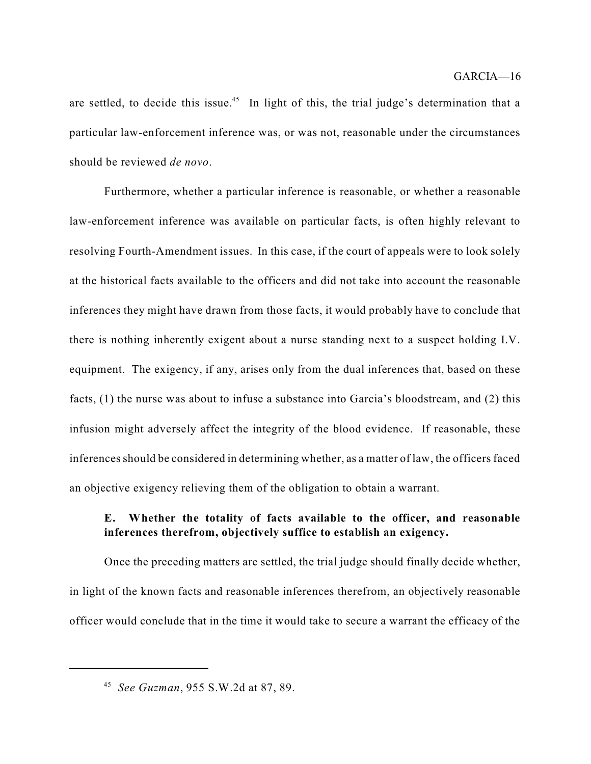are settled, to decide this issue.<sup>45</sup> In light of this, the trial judge's determination that a particular law-enforcement inference was, or was not, reasonable under the circumstances should be reviewed *de novo*.

Furthermore, whether a particular inference is reasonable, or whether a reasonable law-enforcement inference was available on particular facts, is often highly relevant to resolving Fourth-Amendment issues. In this case, if the court of appeals were to look solely at the historical facts available to the officers and did not take into account the reasonable inferences they might have drawn from those facts, it would probably have to conclude that there is nothing inherently exigent about a nurse standing next to a suspect holding I.V. equipment. The exigency, if any, arises only from the dual inferences that, based on these facts, (1) the nurse was about to infuse a substance into Garcia's bloodstream, and (2) this infusion might adversely affect the integrity of the blood evidence. If reasonable, these inferences should be considered in determining whether, as a matter of law, the officers faced an objective exigency relieving them of the obligation to obtain a warrant.

### **E. Whether the totality of facts available to the officer, and reasonable inferences therefrom, objectively suffice to establish an exigency.**

Once the preceding matters are settled, the trial judge should finally decide whether, in light of the known facts and reasonable inferences therefrom, an objectively reasonable officer would conclude that in the time it would take to secure a warrant the efficacy of the

*See Guzman*, 955 S.W.2d at 87, 89. 45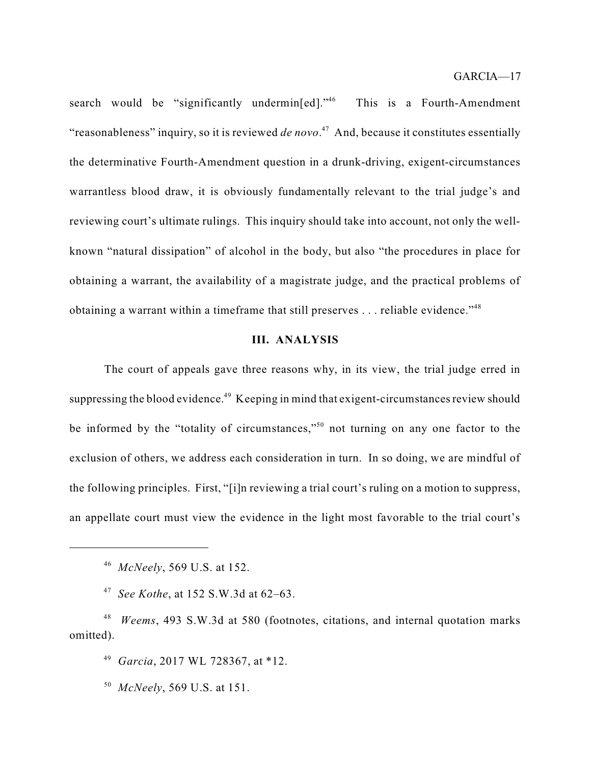search would be "significantly undermin[ed]."<sup>46</sup> This is a Fourth-Amendment "reasonableness" inquiry, so it is reviewed *de novo*.<sup>47</sup> And, because it constitutes essentially the determinative Fourth-Amendment question in a drunk-driving, exigent-circumstances warrantless blood draw, it is obviously fundamentally relevant to the trial judge's and reviewing court's ultimate rulings. This inquiry should take into account, not only the wellknown "natural dissipation" of alcohol in the body, but also "the procedures in place for obtaining a warrant, the availability of a magistrate judge, and the practical problems of obtaining a warrant within a timeframe that still preserves  $\dots$  reliable evidence."<sup>48</sup>

### **III. ANALYSIS**

The court of appeals gave three reasons why, in its view, the trial judge erred in suppressing the blood evidence.<sup>49</sup> Keeping in mind that exigent-circumstances review should be informed by the "totality of circumstances,"<sup>50</sup> not turning on any one factor to the exclusion of others, we address each consideration in turn. In so doing, we are mindful of the following principles. First, "[i]n reviewing a trial court's ruling on a motion to suppress, an appellate court must view the evidence in the light most favorable to the trial court's

*See Kothe*, at 152 S.W.3d at 62–63. 47

<sup>48</sup> *Weems*, 493 S.W.3d at 580 (footnotes, citations, and internal quotation marks omitted).

<sup>49</sup> Garcia, 2017 WL 728367, at \*12.

*McNeely*, 569 U.S. at 151. 50

*McNeely*, 569 U.S. at 152. 46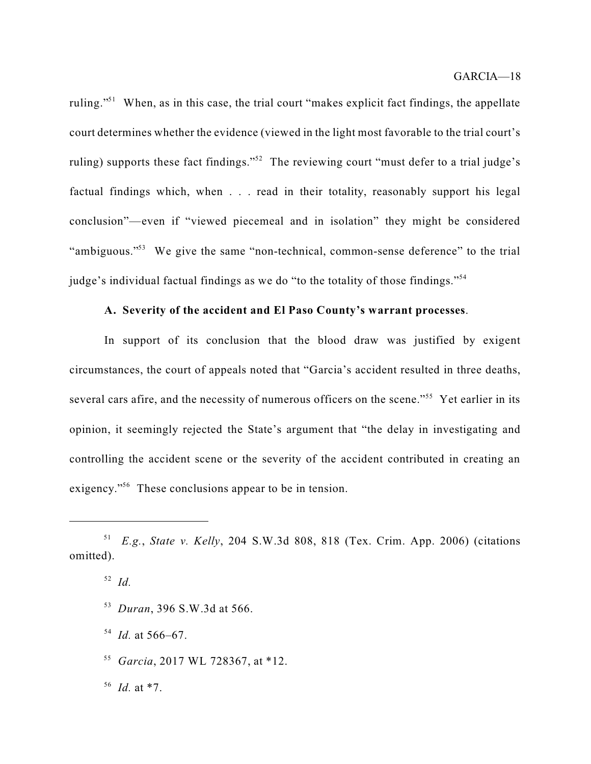ruling."<sup>51</sup> When, as in this case, the trial court "makes explicit fact findings, the appellate court determines whether the evidence (viewed in the light most favorable to the trial court's ruling) supports these fact findings."<sup>52</sup> The reviewing court "must defer to a trial judge's factual findings which, when . . . read in their totality, reasonably support his legal conclusion"—even if "viewed piecemeal and in isolation" they might be considered "ambiguous."<sup>53</sup> We give the same "non-technical, common-sense deference" to the trial judge's individual factual findings as we do "to the totality of those findings."<sup>54</sup>

### **A. Severity of the accident and El Paso County's warrant processes**.

In support of its conclusion that the blood draw was justified by exigent circumstances, the court of appeals noted that "Garcia's accident resulted in three deaths, several cars afire, and the necessity of numerous officers on the scene."<sup>55</sup> Yet earlier in its opinion, it seemingly rejected the State's argument that "the delay in investigating and controlling the accident scene or the severity of the accident contributed in creating an exigency."<sup>56</sup> These conclusions appear to be in tension.

*Duran*, 396 S.W.3d at 566. 53

 $^{54}$  *Id.* at 566–67.

<sup>55</sup> Garcia, 2017 WL 728367, at \*12.

*Id.* at \*7. 56

*E.g.*, *State v. Kelly*, 204 S.W.3d 808, 818 (Tex. Crim. App. 2006) (citations 51 omitted).

*Id.* 52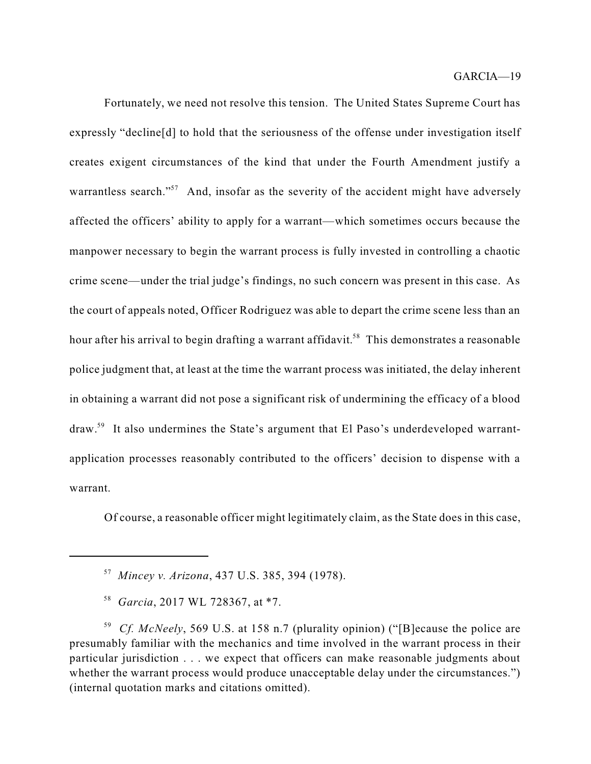Fortunately, we need not resolve this tension. The United States Supreme Court has expressly "decline[d] to hold that the seriousness of the offense under investigation itself creates exigent circumstances of the kind that under the Fourth Amendment justify a warrantless search."<sup>57</sup> And, insofar as the severity of the accident might have adversely affected the officers' ability to apply for a warrant—which sometimes occurs because the manpower necessary to begin the warrant process is fully invested in controlling a chaotic crime scene—under the trial judge's findings, no such concern was present in this case. As the court of appeals noted, Officer Rodriguez was able to depart the crime scene less than an hour after his arrival to begin drafting a warrant affidavit.<sup>58</sup> This demonstrates a reasonable police judgment that, at least at the time the warrant process was initiated, the delay inherent in obtaining a warrant did not pose a significant risk of undermining the efficacy of a blood draw.<sup>59</sup> It also undermines the State's argument that El Paso's underdeveloped warrantapplication processes reasonably contributed to the officers' decision to dispense with a warrant.

Of course, a reasonable officer might legitimately claim, as the State does in this case,

*Mincey v. Arizona*, 437 U.S. 385, 394 (1978). 57

<sup>&</sup>lt;sup>58</sup> Garcia, 2017 WL 728367, at \*7.

*Cf. McNeely*, 569 U.S. at 158 n.7 (plurality opinion) ("[B]ecause the police are 59 presumably familiar with the mechanics and time involved in the warrant process in their particular jurisdiction . . . we expect that officers can make reasonable judgments about whether the warrant process would produce unacceptable delay under the circumstances.") (internal quotation marks and citations omitted).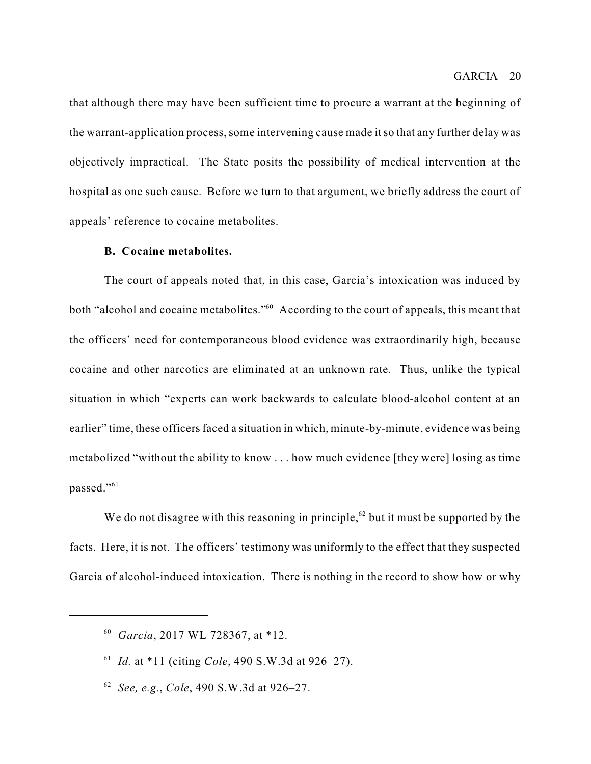that although there may have been sufficient time to procure a warrant at the beginning of the warrant-application process, some intervening cause made it so that any further delay was objectively impractical. The State posits the possibility of medical intervention at the hospital as one such cause. Before we turn to that argument, we briefly address the court of appeals' reference to cocaine metabolites.

### **B. Cocaine metabolites.**

The court of appeals noted that, in this case, Garcia's intoxication was induced by both "alcohol and cocaine metabolites." $60$  According to the court of appeals, this meant that the officers' need for contemporaneous blood evidence was extraordinarily high, because cocaine and other narcotics are eliminated at an unknown rate. Thus, unlike the typical situation in which "experts can work backwards to calculate blood-alcohol content at an earlier" time, these officers faced a situation in which, minute-by-minute, evidence was being metabolized "without the ability to know . . . how much evidence [they were] losing as time passed."<sup>61</sup>

We do not disagree with this reasoning in principle,  $62$  but it must be supported by the facts. Here, it is not. The officers' testimony was uniformly to the effect that they suspected Garcia of alcohol-induced intoxication. There is nothing in the record to show how or why

*Garcia*, 2017 WL 728367, at \*12. 60

<sup>&</sup>lt;sup>61</sup> *Id.* at \*11 (citing *Cole*, 490 S.W.3d at 926–27).

*See, e.g.*, *Cole*, 490 S.W.3d at 926–27. 62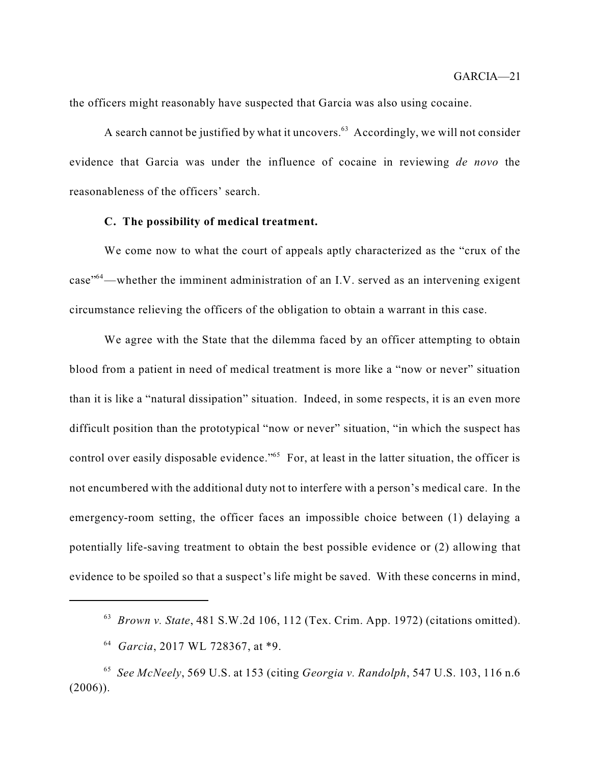the officers might reasonably have suspected that Garcia was also using cocaine.

A search cannot be justified by what it uncovers.<sup>63</sup> Accordingly, we will not consider evidence that Garcia was under the influence of cocaine in reviewing *de novo* the reasonableness of the officers' search.

#### **C. The possibility of medical treatment.**

We come now to what the court of appeals aptly characterized as the "crux of the  $case$ <sup> $-$ 64</sup> —whether the imminent administration of an I.V. served as an intervening exigent circumstance relieving the officers of the obligation to obtain a warrant in this case.

We agree with the State that the dilemma faced by an officer attempting to obtain blood from a patient in need of medical treatment is more like a "now or never" situation than it is like a "natural dissipation" situation. Indeed, in some respects, it is an even more difficult position than the prototypical "now or never" situation, "in which the suspect has control over easily disposable evidence."<sup>65</sup> For, at least in the latter situation, the officer is not encumbered with the additional duty not to interfere with a person's medical care. In the emergency-room setting, the officer faces an impossible choice between (1) delaying a potentially life-saving treatment to obtain the best possible evidence or (2) allowing that evidence to be spoiled so that a suspect's life might be saved. With these concerns in mind,

<sup>&</sup>lt;sup>63</sup> Brown v. State, 481 S.W.2d 106, 112 (Tex. Crim. App. 1972) (citations omitted).

*Garcia*, 2017 WL 728367, at \*9. 64

*See McNeely*, 569 U.S. at 153 (citing *Georgia v. Randolph*, 547 U.S. 103, 116 n.6 65 (2006)).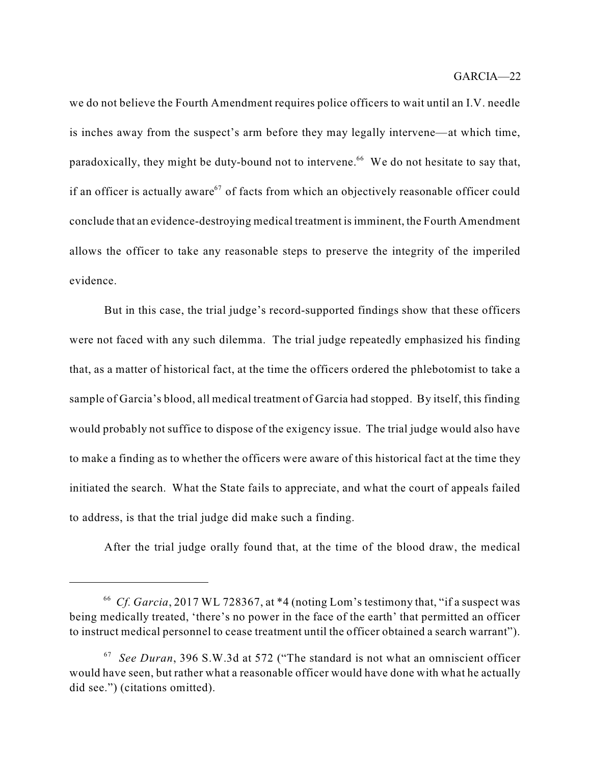we do not believe the Fourth Amendment requires police officers to wait until an I.V. needle is inches away from the suspect's arm before they may legally intervene—at which time, paradoxically, they might be duty-bound not to intervene.<sup>66</sup> We do not hesitate to say that, if an officer is actually aware $67$  of facts from which an objectively reasonable officer could conclude that an evidence-destroying medical treatment isimminent, the Fourth Amendment allows the officer to take any reasonable steps to preserve the integrity of the imperiled evidence.

But in this case, the trial judge's record-supported findings show that these officers were not faced with any such dilemma. The trial judge repeatedly emphasized his finding that, as a matter of historical fact, at the time the officers ordered the phlebotomist to take a sample of Garcia's blood, all medical treatment of Garcia had stopped. By itself, this finding would probably not suffice to dispose of the exigency issue. The trial judge would also have to make a finding as to whether the officers were aware of this historical fact at the time they initiated the search. What the State fails to appreciate, and what the court of appeals failed to address, is that the trial judge did make such a finding.

After the trial judge orally found that, at the time of the blood draw, the medical

<sup>&</sup>lt;sup>66</sup> Cf. Garcia, 2017 WL 728367, at \*4 (noting Lom's testimony that, "if a suspect was being medically treated, 'there's no power in the face of the earth' that permitted an officer to instruct medical personnel to cease treatment until the officer obtained a search warrant").

*See Duran*, 396 S.W.3d at 572 ("The standard is not what an omniscient officer 67 would have seen, but rather what a reasonable officer would have done with what he actually did see.") (citations omitted).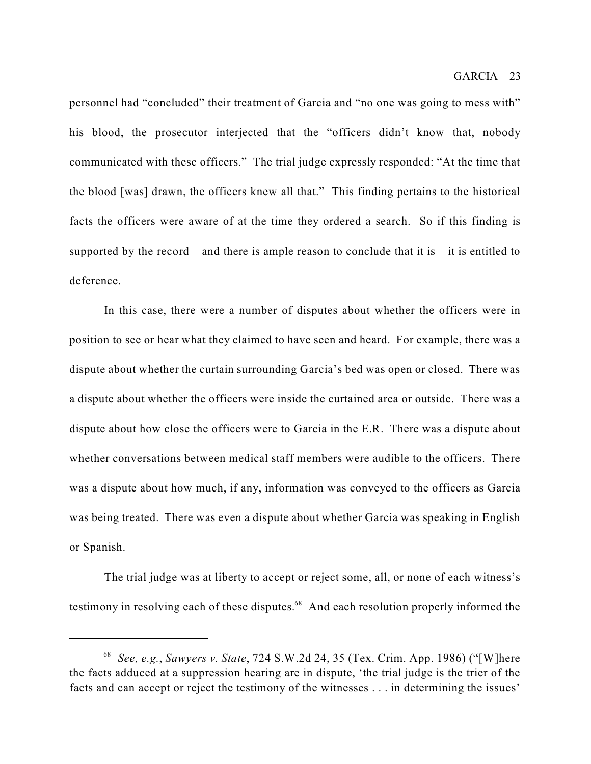personnel had "concluded" their treatment of Garcia and "no one was going to mess with" his blood, the prosecutor interjected that the "officers didn't know that, nobody communicated with these officers." The trial judge expressly responded: "At the time that the blood [was] drawn, the officers knew all that." This finding pertains to the historical facts the officers were aware of at the time they ordered a search. So if this finding is supported by the record—and there is ample reason to conclude that it is—it is entitled to deference.

In this case, there were a number of disputes about whether the officers were in position to see or hear what they claimed to have seen and heard. For example, there was a dispute about whether the curtain surrounding Garcia's bed was open or closed. There was a dispute about whether the officers were inside the curtained area or outside. There was a dispute about how close the officers were to Garcia in the E.R. There was a dispute about whether conversations between medical staff members were audible to the officers. There was a dispute about how much, if any, information was conveyed to the officers as Garcia was being treated. There was even a dispute about whether Garcia was speaking in English or Spanish.

The trial judge was at liberty to accept or reject some, all, or none of each witness's testimony in resolving each of these disputes.<sup>68</sup> And each resolution properly informed the

*See, e.g.*, *Sawyers v. State*, 724 S.W.2d 24, 35 (Tex. Crim. App. 1986) ("[W]here 68 the facts adduced at a suppression hearing are in dispute, 'the trial judge is the trier of the facts and can accept or reject the testimony of the witnesses . . . in determining the issues'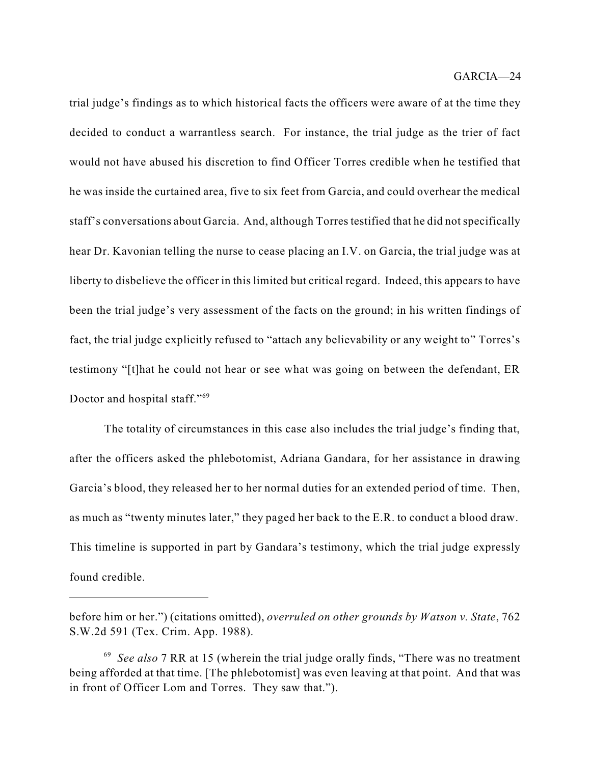trial judge's findings as to which historical facts the officers were aware of at the time they decided to conduct a warrantless search. For instance, the trial judge as the trier of fact would not have abused his discretion to find Officer Torres credible when he testified that he was inside the curtained area, five to six feet from Garcia, and could overhear the medical staff's conversations about Garcia. And, although Torres testified that he did not specifically hear Dr. Kavonian telling the nurse to cease placing an I.V. on Garcia, the trial judge was at liberty to disbelieve the officer in this limited but critical regard. Indeed, this appears to have been the trial judge's very assessment of the facts on the ground; in his written findings of fact, the trial judge explicitly refused to "attach any believability or any weight to" Torres's testimony "[t]hat he could not hear or see what was going on between the defendant, ER Doctor and hospital staff."<sup>69</sup>

The totality of circumstances in this case also includes the trial judge's finding that, after the officers asked the phlebotomist, Adriana Gandara, for her assistance in drawing Garcia's blood, they released her to her normal duties for an extended period of time. Then, as much as "twenty minutes later," they paged her back to the E.R. to conduct a blood draw. This timeline is supported in part by Gandara's testimony, which the trial judge expressly found credible.

before him or her.") (citations omitted), *overruled on other grounds by Watson v. State*, 762 S.W.2d 591 (Tex. Crim. App. 1988).

*See also* 7 RR at 15 (wherein the trial judge orally finds, "There was no treatment 69 being afforded at that time. [The phlebotomist] was even leaving at that point. And that was in front of Officer Lom and Torres. They saw that.").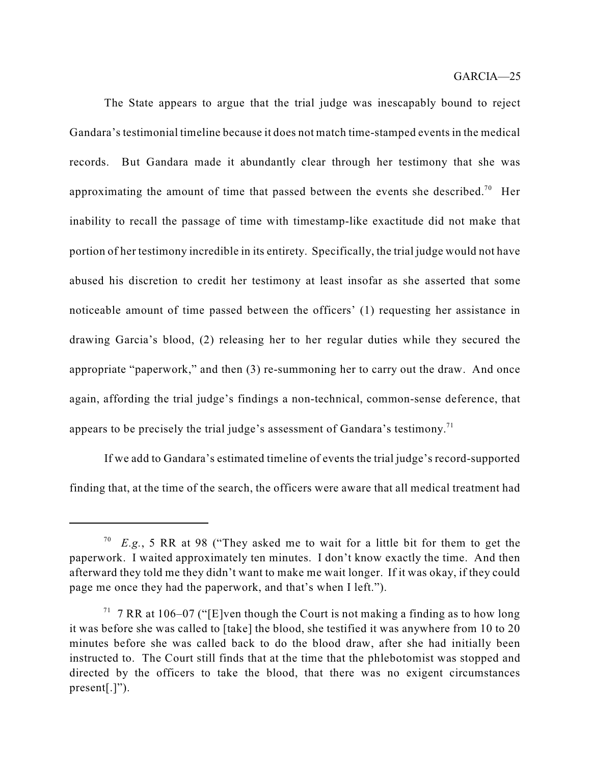The State appears to argue that the trial judge was inescapably bound to reject Gandara's testimonial timeline because it does not match time-stamped events in the medical records. But Gandara made it abundantly clear through her testimony that she was approximating the amount of time that passed between the events she described.<sup>70</sup> Her inability to recall the passage of time with timestamp-like exactitude did not make that portion of her testimony incredible in its entirety. Specifically, the trial judge would not have abused his discretion to credit her testimony at least insofar as she asserted that some noticeable amount of time passed between the officers' (1) requesting her assistance in drawing Garcia's blood, (2) releasing her to her regular duties while they secured the appropriate "paperwork," and then (3) re-summoning her to carry out the draw. And once again, affording the trial judge's findings a non-technical, common-sense deference, that appears to be precisely the trial judge's assessment of Gandara's testimony.<sup>71</sup>

If we add to Gandara's estimated timeline of events the trial judge's record-supported finding that, at the time of the search, the officers were aware that all medical treatment had

*E.g.*, 5 RR at 98 ("They asked me to wait for a little bit for them to get the 70 paperwork. I waited approximately ten minutes. I don't know exactly the time. And then afterward they told me they didn't want to make me wait longer. If it was okay, if they could page me once they had the paperwork, and that's when I left.").

<sup>&</sup>lt;sup>71</sup> 7 RR at 106–07 ("[E]ven though the Court is not making a finding as to how long it was before she was called to [take] the blood, she testified it was anywhere from 10 to 20 minutes before she was called back to do the blood draw, after she had initially been instructed to. The Court still finds that at the time that the phlebotomist was stopped and directed by the officers to take the blood, that there was no exigent circumstances present[.]").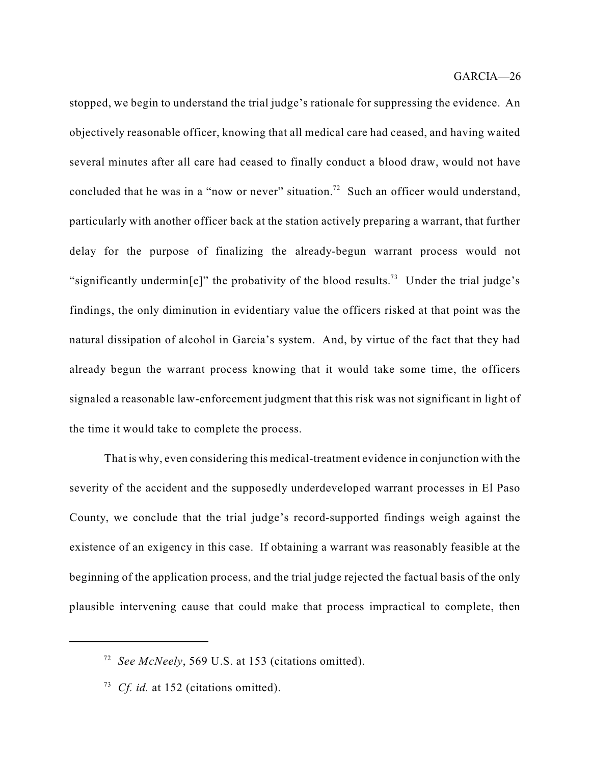stopped, we begin to understand the trial judge's rationale for suppressing the evidence. An objectively reasonable officer, knowing that all medical care had ceased, and having waited several minutes after all care had ceased to finally conduct a blood draw, would not have concluded that he was in a "now or never" situation.<sup>72</sup> Such an officer would understand, particularly with another officer back at the station actively preparing a warrant, that further delay for the purpose of finalizing the already-begun warrant process would not "significantly undermin[e]" the probativity of the blood results.<sup>73</sup> Under the trial judge's findings, the only diminution in evidentiary value the officers risked at that point was the natural dissipation of alcohol in Garcia's system. And, by virtue of the fact that they had already begun the warrant process knowing that it would take some time, the officers signaled a reasonable law-enforcement judgment that this risk was not significant in light of the time it would take to complete the process.

That is why, even considering this medical-treatment evidence in conjunction with the severity of the accident and the supposedly underdeveloped warrant processes in El Paso County, we conclude that the trial judge's record-supported findings weigh against the existence of an exigency in this case. If obtaining a warrant was reasonably feasible at the beginning of the application process, and the trial judge rejected the factual basis of the only plausible intervening cause that could make that process impractical to complete, then

*See McNeely*, 569 U.S. at 153 (citations omitted). 72

<sup>&</sup>lt;sup>73</sup> *Cf. id.* at 152 (citations omitted).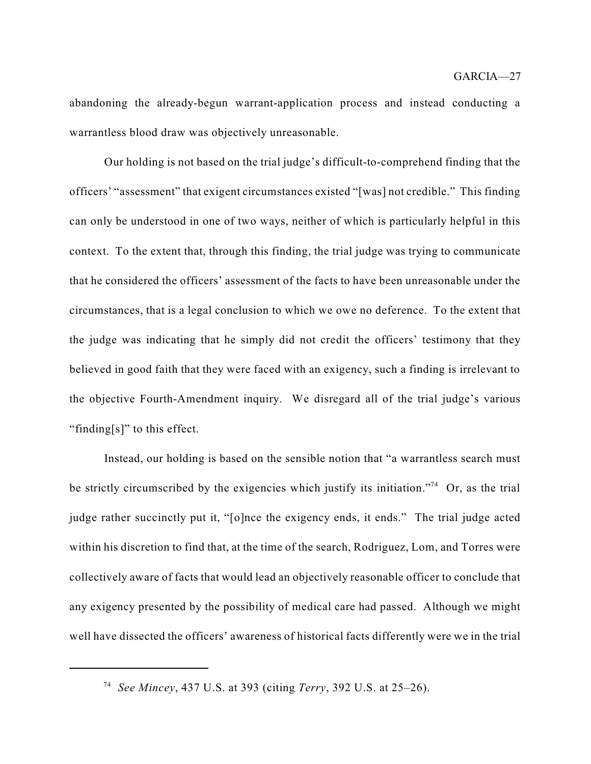abandoning the already-begun warrant-application process and instead conducting a warrantless blood draw was objectively unreasonable.

Our holding is not based on the trial judge's difficult-to-comprehend finding that the officers' "assessment" that exigent circumstances existed "[was] not credible." This finding can only be understood in one of two ways, neither of which is particularly helpful in this context. To the extent that, through this finding, the trial judge was trying to communicate that he considered the officers' assessment of the facts to have been unreasonable under the circumstances, that is a legal conclusion to which we owe no deference. To the extent that the judge was indicating that he simply did not credit the officers' testimony that they believed in good faith that they were faced with an exigency, such a finding is irrelevant to the objective Fourth-Amendment inquiry. We disregard all of the trial judge's various "finding[s]" to this effect.

Instead, our holding is based on the sensible notion that "a warrantless search must be strictly circumscribed by the exigencies which justify its initiation."<sup>74</sup> Or, as the trial judge rather succinctly put it, "[o]nce the exigency ends, it ends." The trial judge acted within his discretion to find that, at the time of the search, Rodriguez, Lom, and Torres were collectively aware of facts that would lead an objectively reasonable officer to conclude that any exigency presented by the possibility of medical care had passed. Although we might well have dissected the officers' awareness of historical facts differently were we in the trial

*See Mincey*, 437 U.S. at 393 (citing *Terry*, 392 U.S. at 25–26). 74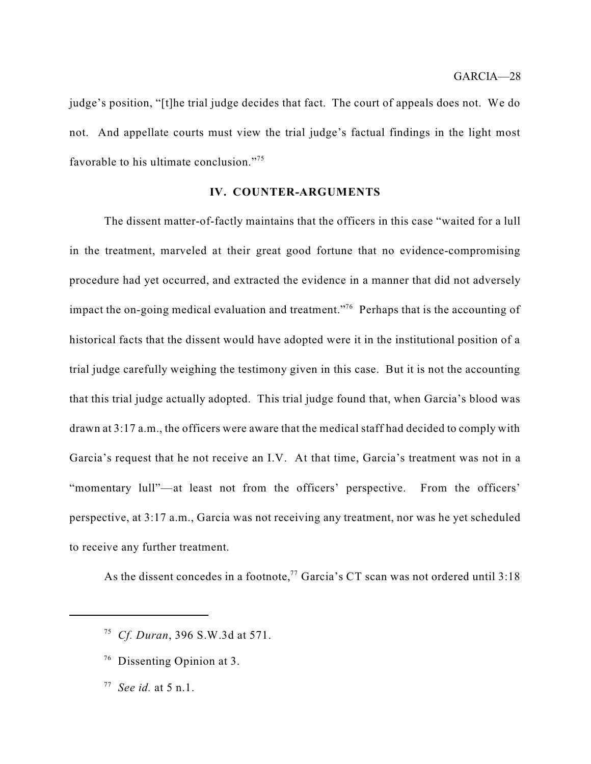judge's position, "[t]he trial judge decides that fact. The court of appeals does not. We do not. And appellate courts must view the trial judge's factual findings in the light most favorable to his ultimate conclusion."<sup>75</sup>

#### **IV. COUNTER-ARGUMENTS**

The dissent matter-of-factly maintains that the officers in this case "waited for a lull in the treatment, marveled at their great good fortune that no evidence-compromising procedure had yet occurred, and extracted the evidence in a manner that did not adversely impact the on-going medical evaluation and treatment."<sup>76</sup> Perhaps that is the accounting of historical facts that the dissent would have adopted were it in the institutional position of a trial judge carefully weighing the testimony given in this case. But it is not the accounting that this trial judge actually adopted. This trial judge found that, when Garcia's blood was drawn at 3:17 a.m., the officers were aware that the medical staff had decided to comply with Garcia's request that he not receive an I.V. At that time, Garcia's treatment was not in a "momentary lull"—at least not from the officers' perspective. From the officers' perspective, at 3:17 a.m., Garcia was not receiving any treatment, nor was he yet scheduled to receive any further treatment.

As the dissent concedes in a footnote,<sup>77</sup> Garcia's CT scan was not ordered until 3:18

- <sup>76</sup> Dissenting Opinion at 3.
- *See id.* at 5 n.1. 77

*Cf. Duran*, 396 S.W.3d at 571. 75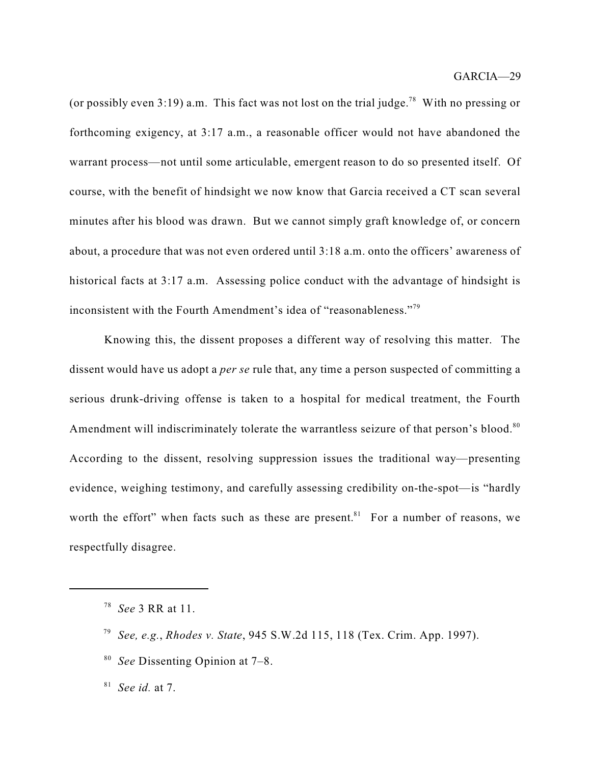(or possibly even 3:19) a.m. This fact was not lost on the trial judge.<sup>78</sup> With no pressing or forthcoming exigency, at 3:17 a.m., a reasonable officer would not have abandoned the warrant process—not until some articulable, emergent reason to do so presented itself. Of course, with the benefit of hindsight we now know that Garcia received a CT scan several minutes after his blood was drawn. But we cannot simply graft knowledge of, or concern about, a procedure that was not even ordered until 3:18 a.m. onto the officers' awareness of historical facts at 3:17 a.m. Assessing police conduct with the advantage of hindsight is inconsistent with the Fourth Amendment's idea of "reasonableness."<sup>79</sup>

Knowing this, the dissent proposes a different way of resolving this matter. The dissent would have us adopt a *per se* rule that, any time a person suspected of committing a serious drunk-driving offense is taken to a hospital for medical treatment, the Fourth Amendment will indiscriminately tolerate the warrantless seizure of that person's blood.<sup>80</sup> According to the dissent, resolving suppression issues the traditional way—presenting evidence, weighing testimony, and carefully assessing credibility on-the-spot—is "hardly worth the effort" when facts such as these are present.<sup>81</sup> For a number of reasons, we respectfully disagree.

*See* Dissenting Opinion at 7–8. 80

*See id.* at 7. 81

*See* 3 RR at 11. 78

*See, e.g.*, *Rhodes v. State*, 945 S.W.2d 115, 118 (Tex. Crim. App. 1997). 79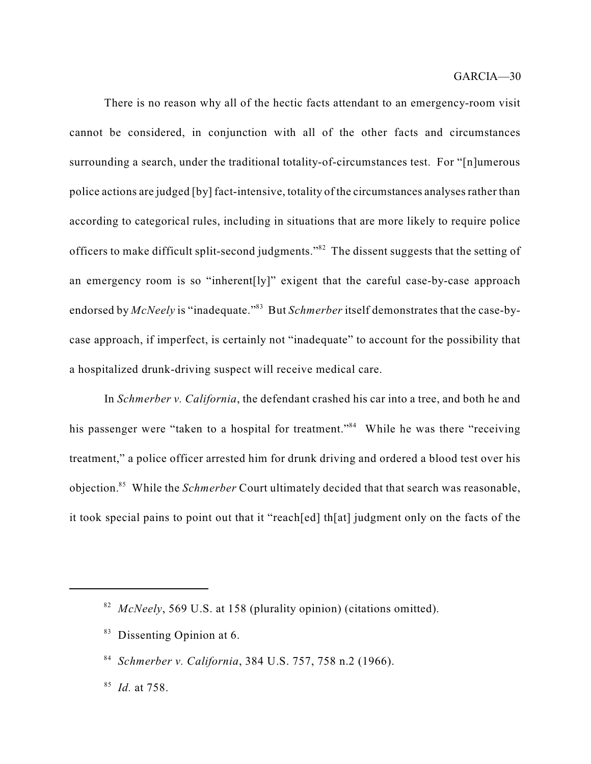There is no reason why all of the hectic facts attendant to an emergency-room visit cannot be considered, in conjunction with all of the other facts and circumstances surrounding a search, under the traditional totality-of-circumstances test. For "[n]umerous police actions are judged [by] fact-intensive, totality of the circumstances analysesrather than according to categorical rules, including in situations that are more likely to require police officers to make difficult split-second judgments." $82$  The dissent suggests that the setting of an emergency room is so "inherent[ly]" exigent that the careful case-by-case approach endorsed by *McNeely* is "inadequate."<sup>83</sup> But *Schmerber* itself demonstrates that the case-bycase approach, if imperfect, is certainly not "inadequate" to account for the possibility that a hospitalized drunk-driving suspect will receive medical care.

In *Schmerber v. California*, the defendant crashed his car into a tree, and both he and his passenger were "taken to a hospital for treatment."<sup>84</sup> While he was there "receiving treatment," a police officer arrested him for drunk driving and ordered a blood test over his objection.<sup>85</sup> While the *Schmerber* Court ultimately decided that that search was reasonable, it took special pains to point out that it "reach[ed] th[at] judgment only on the facts of the

<sup>83</sup> Dissenting Opinion at 6.

<sup>&</sup>lt;sup>82</sup> McNeely, 569 U.S. at 158 (plurality opinion) (citations omitted).

*Schmerber v. California*, 384 U.S. 757, 758 n.2 (1966). 84

<sup>&</sup>lt;sup>85</sup> *Id.* at 758.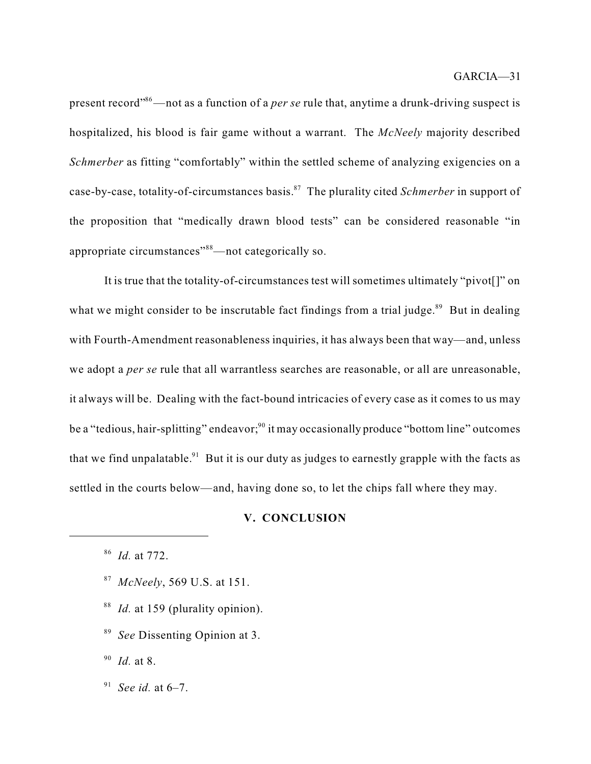present record"<sup>86</sup>—not as a function of a *per se* rule that, anytime a drunk-driving suspect is hospitalized, his blood is fair game without a warrant. The *McNeely* majority described *Schmerber* as fitting "comfortably" within the settled scheme of analyzing exigencies on a case-by-case, totality-of-circumstances basis.<sup>87</sup> The plurality cited *Schmerber* in support of the proposition that "medically drawn blood tests" can be considered reasonable "in appropriate circumstances"  $88$ —not categorically so.

It is true that the totality-of-circumstances test will sometimes ultimately "pivot[]" on what we might consider to be inscrutable fact findings from a trial judge.<sup>89</sup> But in dealing with Fourth-Amendment reasonableness inquiries, it has always been that way—and, unless we adopt a *per se* rule that all warrantless searches are reasonable, or all are unreasonable, it always will be. Dealing with the fact-bound intricacies of every case as it comes to us may be a "tedious, hair-splitting" endeavor;<sup>90</sup> it may occasionally produce "bottom line" outcomes that we find unpalatable. $91$  But it is our duty as judges to earnestly grapple with the facts as settled in the courts below—and, having done so, to let the chips fall where they may.

#### **V. CONCLUSION**

- *McNeely*, 569 U.S. at 151. 87
- <sup>88</sup> *Id.* at 159 (plurality opinion).
- <sup>89</sup> See Dissenting Opinion at 3.

*Id.* at 8. 90

*See id.* at 6–7. 91

*Id.* at 772. 86